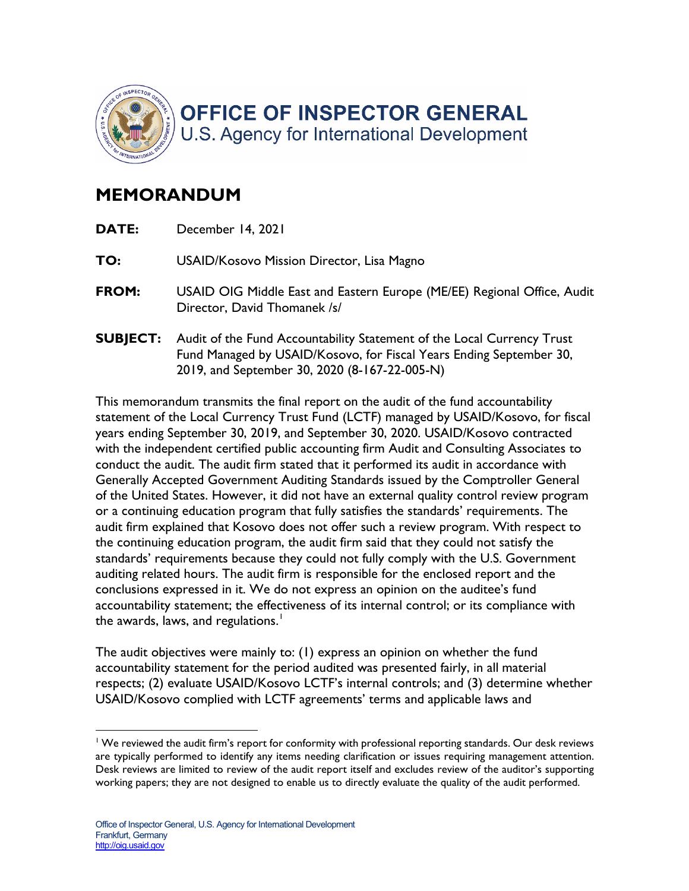

## **MEMORANDUM**

| <b>DATE:</b>    | December 14, 2021                                                                                                                                                                              |
|-----------------|------------------------------------------------------------------------------------------------------------------------------------------------------------------------------------------------|
| TO:             | USAID/Kosovo Mission Director, Lisa Magno                                                                                                                                                      |
| <b>FROM:</b>    | USAID OIG Middle East and Eastern Europe (ME/EE) Regional Office, Audit<br>Director, David Thomanek /s/                                                                                        |
| <b>SUBJECT:</b> | Audit of the Fund Accountability Statement of the Local Currency Trust<br>Fund Managed by USAID/Kosovo, for Fiscal Years Ending September 30,<br>2019, and September 30, 2020 (8-167-22-005-N) |

the awards, laws, and regulations. $^\mathsf{I}$ This memorandum transmits the final report on the audit of the fund accountability statement of the Local Currency Trust Fund (LCTF) managed by USAID/Kosovo, for fiscal years ending September 30, 2019, and September 30, 2020. USAID/Kosovo contracted with the independent certified public accounting firm Audit and Consulting Associates to conduct the audit. The audit firm stated that it performed its audit in accordance with Generally Accepted Government Auditing Standards issued by the Comptroller General of the United States. However, it did not have an external quality control review program or a continuing education program that fully satisfies the standards' requirements. The audit firm explained that Kosovo does not offer such a review program. With respect to the continuing education program, the audit firm said that they could not satisfy the standards' requirements because they could not fully comply with the U.S. Government auditing related hours. The audit firm is responsible for the enclosed report and the conclusions expressed in it. We do not express an opinion on the auditee's fund accountability statement; the effectiveness of its internal control; or its compliance with

The audit objectives were mainly to: (1) express an opinion on whether the fund accountability statement for the period audited was presented fairly, in all material respects; (2) evaluate USAID/Kosovo LCTF's internal controls; and (3) determine whether USAID/Kosovo complied with LCTF agreements' terms and applicable laws and

 are typically performed to identify any items needing clarification or issues requiring management attention. <sup>1</sup> We reviewed the audit firm's report for conformity with professional reporting standards. Our desk reviews Desk reviews are limited to review of the audit report itself and excludes review of the auditor's supporting working papers; they are not designed to enable us to directly evaluate the quality of the audit performed.